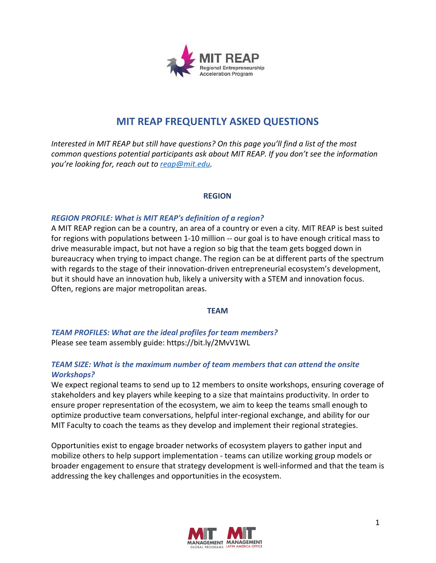

# **MIT REAP FREQUENTLY ASKED QUESTIONS**

*Interested in MIT REAP but still have questions? On this page you'll find a list of the most common questions potential participants ask about MIT REAP. If you don't see the information you're looking for, reach out to [reap@mit.edu.](mailto:reap@mit.edu)*

#### **REGION**

#### *REGION PROFILE: What is MIT REAP's definition of a region?*

A MIT REAP region can be a country, an area of a country or even a city. MIT REAP is best suited for regions with populations between 1-10 million -- our goal is to have enough critical mass to drive measurable impact, but not have a region so big that the team gets bogged down in bureaucracy when trying to impact change. The region can be at different parts of the spectrum with regards to the stage of their innovation-driven entrepreneurial ecosystem's development, but it should have an innovation hub, likely a university with a STEM and innovation focus. Often, regions are major metropolitan areas.

#### **TEAM**

*TEAM PROFILES: What are the ideal profiles for team members?* Please see team assembly guide: https://bit.ly/2MvV1WL

## *TEAM SIZE: What is the maximum number of team members that can attend the onsite Workshops?*

We expect regional teams to send up to 12 members to onsite workshops, ensuring coverage of stakeholders and key players while keeping to a size that maintains productivity. In order to ensure proper representation of the ecosystem, we aim to keep the teams small enough to optimize productive team conversations, helpful inter-regional exchange, and ability for our MIT Faculty to coach the teams as they develop and implement their regional strategies.

Opportunities exist to engage broader networks of ecosystem players to gather input and mobilize others to help support implementation - teams can utilize working group models or broader engagement to ensure that strategy development is well-informed and that the team is addressing the key challenges and opportunities in the ecosystem.

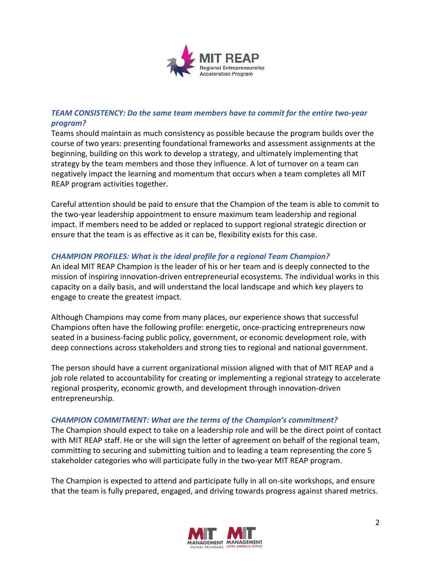

# *TEAM CONSISTENCY: Do the same team members have to commit for the entire two-year program?*

Teams should maintain as much consistency as possible because the program builds over the course of two years: presenting foundational frameworks and assessment assignments at the beginning, building on this work to develop a strategy, and ultimately implementing that strategy by the team members and those they influence. A lot of turnover on a team can negatively impact the learning and momentum that occurs when a team completes all MIT REAP program activities together.

Careful attention should be paid to ensure that the Champion of the team is able to commit to the two-year leadership appointment to ensure maximum team leadership and regional impact. If members need to be added or replaced to support regional strategic direction or ensure that the team is as effective as it can be, flexibility exists for this case.

### *CHAMPION PROFILES: What is the ideal profile for a regional Team Champion?*

An ideal MIT REAP Champion is the leader of his or her team and is deeply connected to the mission of inspiring innovation-driven entrepreneurial ecosystems. The individual works in this capacity on a daily basis, and will understand the local landscape and which key players to engage to create the greatest impact.

Although Champions may come from many places, our experience shows that successful Champions often have the following profile: energetic, once-practicing entrepreneurs now seated in a business-facing public policy, government, or economic development role, with deep connections across stakeholders and strong ties to regional and national government.

The person should have a current organizational mission aligned with that of MIT REAP and a job role related to accountability for creating or implementing a regional strategy to accelerate regional prosperity, economic growth, and development through innovation-driven entrepreneurship.

#### *CHAMPION COMMITMENT: What are the terms of the Champion's commitment?*

The Champion should expect to take on a leadership role and will be the direct point of contact with MIT REAP staff. He or she will sign the letter of agreement on behalf of the regional team, committing to securing and submitting tuition and to leading a team representing the core 5 stakeholder categories who will participate fully in the two-year MIT REAP program.

The Champion is expected to attend and participate fully in all on-site workshops, and ensure that the team is fully prepared, engaged, and driving towards progress against shared metrics.

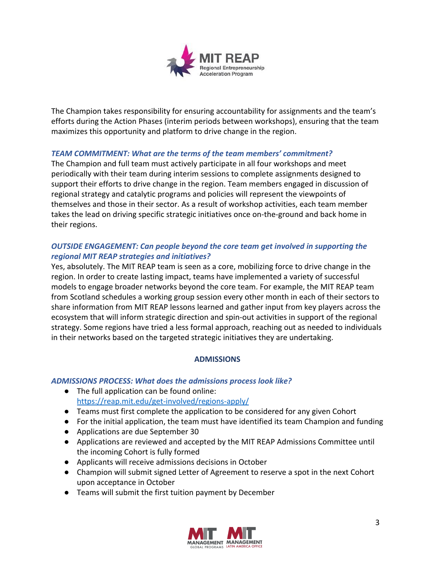

The Champion takes responsibility for ensuring accountability for assignments and the team's efforts during the Action Phases (interim periods between workshops), ensuring that the team maximizes this opportunity and platform to drive change in the region.

#### *TEAM COMMITMENT: What are the terms of the team members' commitment?*

The Champion and full team must actively participate in all four workshops and meet periodically with their team during interim sessions to complete assignments designed to support their efforts to drive change in the region. Team members engaged in discussion of regional strategy and catalytic programs and policies will represent the viewpoints of themselves and those in their sector. As a result of workshop activities, each team member takes the lead on driving specific strategic initiatives once on-the-ground and back home in their regions.

### *OUTSIDE ENGAGEMENT: Can people beyond the core team get involved in supporting the regional MIT REAP strategies and initiatives?*

Yes, absolutely. The MIT REAP team is seen as a core, mobilizing force to drive change in the region. In order to create lasting impact, teams have implemented a variety of successful models to engage broader networks beyond the core team. For example, the MIT REAP team from Scotland schedules a working group session every other month in each of their sectors to share information from MIT REAP lessons learned and gather input from key players across the ecosystem that will inform strategic direction and spin-out activities in support of the regional strategy. Some regions have tried a less formal approach, reaching out as needed to individuals in their networks based on the targeted strategic initiatives they are undertaking.

#### **ADMISSIONS**

#### *ADMISSIONS PROCESS: What does the admissions process look like?*

- The full application can be found online: <https://reap.mit.edu/get-involved/regions-apply/>
- Teams must first complete the application to be considered for any given Cohort
- For the initial application, the team must have identified its team Champion and funding
- Applications are due September 30
- Applications are reviewed and accepted by the MIT REAP Admissions Committee until the incoming Cohort is fully formed
- Applicants will receive admissions decisions in October
- Champion will submit signed Letter of Agreement to reserve a spot in the next Cohort upon acceptance in October
- Teams will submit the first tuition payment by December

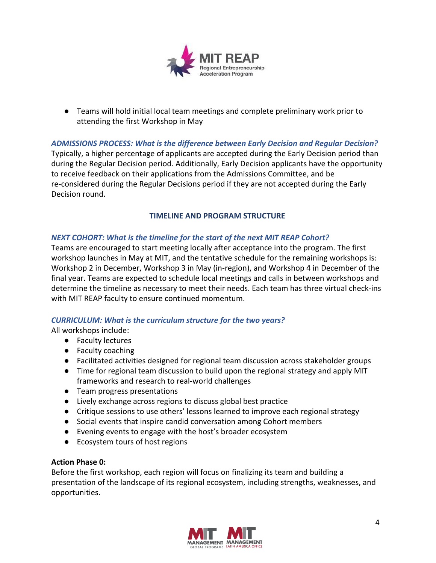

● Teams will hold initial local team meetings and complete preliminary work prior to attending the first Workshop in May

*ADMISSIONS PROCESS: What is the difference between Early Decision and Regular Decision?* Typically, a higher percentage of applicants are accepted during the Early Decision period than during the Regular Decision period. Additionally, Early Decision applicants have the opportunity to receive feedback on their applications from the Admissions Committee, and be re-considered during the Regular Decisions period if they are not accepted during the Early Decision round.

### **TIMELINE AND PROGRAM STRUCTURE**

## *NEXT COHORT: What is the timeline for the start of the next MIT REAP Cohort?*

Teams are encouraged to start meeting locally after acceptance into the program. The first workshop launches in May at MIT, and the tentative schedule for the remaining workshops is: Workshop 2 in December, Workshop 3 in May (in-region), and Workshop 4 in December of the final year. Teams are expected to schedule local meetings and calls in between workshops and determine the timeline as necessary to meet their needs. Each team has three virtual check-ins with MIT REAP faculty to ensure continued momentum.

#### *CURRICULUM: What is the curriculum structure for the two years?*

All workshops include:

- Faculty lectures
- Faculty coaching
- Facilitated activities designed for regional team discussion across stakeholder groups
- Time for regional team discussion to build upon the regional strategy and apply MIT frameworks and research to real-world challenges
- Team progress presentations
- Lively exchange across regions to discuss global best practice
- Critique sessions to use others' lessons learned to improve each regional strategy
- Social events that inspire candid conversation among Cohort members
- Evening events to engage with the host's broader ecosystem
- Ecosystem tours of host regions

#### **Action Phase 0:**

Before the first workshop, each region will focus on finalizing its team and building a presentation of the landscape of its regional ecosystem, including strengths, weaknesses, and opportunities.

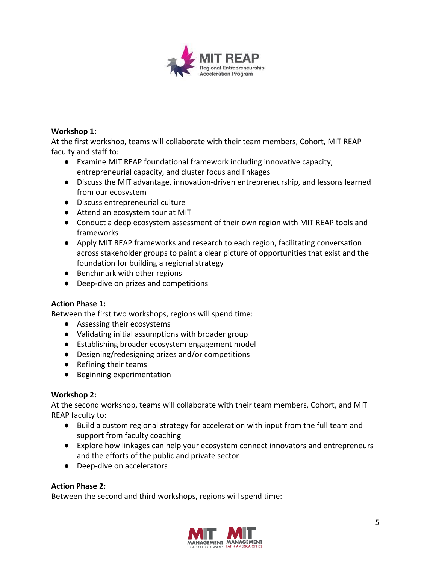

### **Workshop 1:**

At the first workshop, teams will collaborate with their team members, Cohort, MIT REAP faculty and staff to:

- Examine MIT REAP foundational framework including innovative capacity, entrepreneurial capacity, and cluster focus and linkages
- Discuss the MIT advantage, innovation-driven entrepreneurship, and lessons learned from our ecosystem
- Discuss entrepreneurial culture
- Attend an ecosystem tour at MIT
- Conduct a deep ecosystem assessment of their own region with MIT REAP tools and frameworks
- Apply MIT REAP frameworks and research to each region, facilitating conversation across stakeholder groups to paint a clear picture of opportunities that exist and the foundation for building a regional strategy
- Benchmark with other regions
- Deep-dive on prizes and competitions

## **Action Phase 1:**

Between the first two workshops, regions will spend time:

- Assessing their ecosystems
- Validating initial assumptions with broader group
- Establishing broader ecosystem engagement model
- Designing/redesigning prizes and/or competitions
- Refining their teams
- Beginning experimentation

#### **Workshop 2:**

At the second workshop, teams will collaborate with their team members, Cohort, and MIT REAP faculty to:

- Build a custom regional strategy for acceleration with input from the full team and support from faculty coaching
- Explore how linkages can help your ecosystem connect innovators and entrepreneurs and the efforts of the public and private sector
- Deep-dive on accelerators

## **Action Phase 2:**

Between the second and third workshops, regions will spend time:

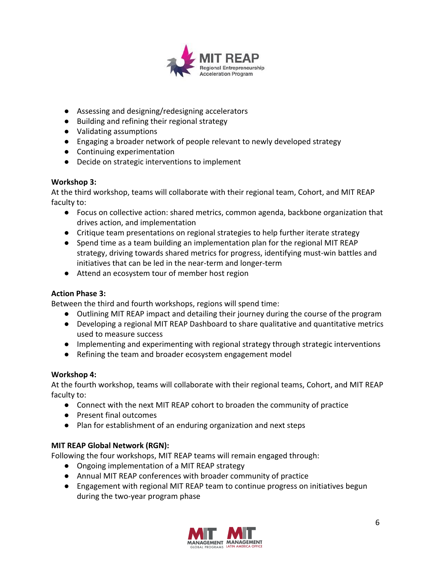

- Assessing and designing/redesigning accelerators
- Building and refining their regional strategy
- Validating assumptions
- Engaging a broader network of people relevant to newly developed strategy
- Continuing experimentation
- Decide on strategic interventions to implement

## **Workshop 3:**

At the third workshop, teams will collaborate with their regional team, Cohort, and MIT REAP faculty to:

- Focus on collective action: shared metrics, common agenda, backbone organization that drives action, and implementation
- Critique team presentations on regional strategies to help further iterate strategy
- Spend time as a team building an implementation plan for the regional MIT REAP strategy, driving towards shared metrics for progress, identifying must-win battles and initiatives that can be led in the near-term and longer-term
- Attend an ecosystem tour of member host region

## **Action Phase 3:**

Between the third and fourth workshops, regions will spend time:

- Outlining MIT REAP impact and detailing their journey during the course of the program
- Developing a regional MIT REAP Dashboard to share qualitative and quantitative metrics used to measure success
- Implementing and experimenting with regional strategy through strategic interventions
- Refining the team and broader ecosystem engagement model

## **Workshop 4:**

At the fourth workshop, teams will collaborate with their regional teams, Cohort, and MIT REAP faculty to:

- Connect with the next MIT REAP cohort to broaden the community of practice
- Present final outcomes
- Plan for establishment of an enduring organization and next steps

## **MIT REAP Global Network (RGN):**

Following the four workshops, MIT REAP teams will remain engaged through:

- Ongoing implementation of a MIT REAP strategy
- Annual MIT REAP conferences with broader community of practice
- Engagement with regional MIT REAP team to continue progress on initiatives begun during the two-year program phase

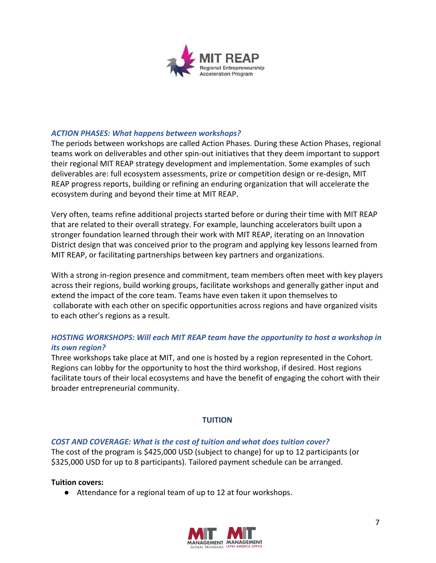

#### *ACTION PHASES: What happens between workshops?*

The periods between workshops are called Action Phases. During these Action Phases, regional teams work on deliverables and other spin-out initiatives that they deem important to support their regional MIT REAP strategy development and implementation. Some examples of such deliverables are: full ecosystem assessments, prize or competition design or re-design, MIT REAP progress reports, building or refining an enduring organization that will accelerate the ecosystem during and beyond their time at MIT REAP.

Very often, teams refine additional projects started before or during their time with MIT REAP that are related to their overall strategy. For example, launching accelerators built upon a stronger foundation learned through their work with MIT REAP, iterating on an Innovation District design that was conceived prior to the program and applying key lessons learned from MIT REAP, or facilitating partnerships between key partners and organizations.

With a strong in-region presence and commitment, team members often meet with key players across their regions, build working groups, facilitate workshops and generally gather input and extend the impact of the core team. Teams have even taken it upon themselves to collaborate with each other on specific opportunities across regions and have organized visits to each other's regions as a result.

### *HOSTING WORKSHOPS: Will each MIT REAP team have the opportunity to host a workshop in its own region?*

Three workshops take place at MIT, and one is hosted by a region represented in the Cohort. Regions can lobby for the opportunity to host the third workshop, if desired. Host regions facilitate tours of their local ecosystems and have the benefit of engaging the cohort with their broader entrepreneurial community.

#### **TUITION**

#### *COST AND COVERAGE: What is the cost of tuition and what does tuition cover?*

The cost of the program is \$425,000 USD (subject to change) for up to 12 participants (or \$325,000 USD for up to 8 participants). Tailored payment schedule can be arranged.

#### **Tuition covers:**

● Attendance for a regional team of up to 12 at four workshops.

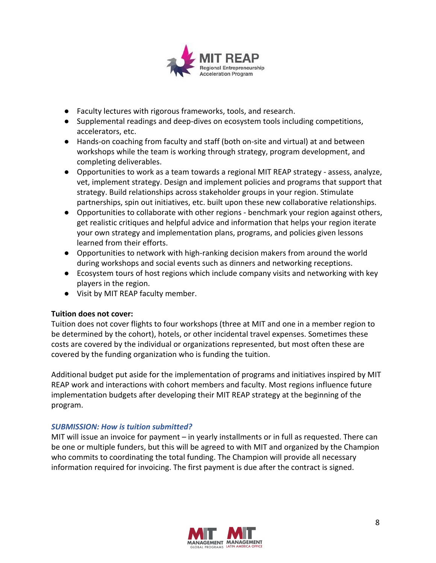

- Faculty lectures with rigorous frameworks, tools, and research.
- Supplemental readings and deep-dives on ecosystem tools including competitions, accelerators, etc.
- Hands-on coaching from faculty and staff (both on-site and virtual) at and between workshops while the team is working through strategy, program development, and completing deliverables.
- Opportunities to work as a team towards a regional MIT REAP strategy assess, analyze, vet, implement strategy. Design and implement policies and programs that support that strategy. Build relationships across stakeholder groups in your region. Stimulate partnerships, spin out initiatives, etc. built upon these new collaborative relationships.
- Opportunities to collaborate with other regions benchmark your region against others, get realistic critiques and helpful advice and information that helps your region iterate your own strategy and implementation plans, programs, and policies given lessons learned from their efforts.
- Opportunities to network with high-ranking decision makers from around the world during workshops and social events such as dinners and networking receptions.
- Ecosystem tours of host regions which include company visits and networking with key players in the region.
- Visit by MIT REAP faculty member.

#### **Tuition does not cover:**

Tuition does not cover flights to four workshops (three at MIT and one in a member region to be determined by the cohort), hotels, or other incidental travel expenses. Sometimes these costs are covered by the individual or organizations represented, but most often these are covered by the funding organization who is funding the tuition.

Additional budget put aside for the implementation of programs and initiatives inspired by MIT REAP work and interactions with cohort members and faculty. Most regions influence future implementation budgets after developing their MIT REAP strategy at the beginning of the program.

#### *SUBMISSION: How is tuition submitted?*

MIT will issue an invoice for payment – in yearly installments or in full as requested. There can be one or multiple funders, but this will be agreed to with MIT and organized by the Champion who commits to coordinating the total funding. The Champion will provide all necessary information required for invoicing. The first payment is due after the contract is signed.

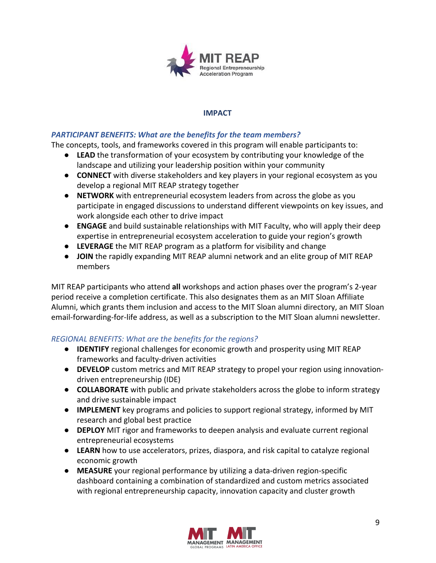

### **IMPACT**

### *PARTICIPANT BENEFITS: What are the benefits for the team members?*

The concepts, tools, and frameworks covered in this program will enable participants to:

- **LEAD** the transformation of your ecosystem by contributing your knowledge of the landscape and utilizing your leadership position within your community
- **CONNECT** with diverse stakeholders and key players in your regional ecosystem as you develop a regional MIT REAP strategy together
- **NETWORK** with entrepreneurial ecosystem leaders from across the globe as you participate in engaged discussions to understand different viewpoints on key issues, and work alongside each other to drive impact
- **● ENGAGE** and build sustainable relationships with MIT Faculty, who will apply their deep expertise in entrepreneurial ecosystem acceleration to guide your region's growth
- **LEVERAGE** the MIT REAP program as a platform for visibility and change
- **● JOIN** the rapidly expanding MIT REAP alumni network and an elite group of MIT REAP members

MIT REAP participants who attend **all** workshops and action phases over the program's 2-year period receive a completion certificate. This also designates them as an MIT Sloan Affiliate Alumni, which grants them inclusion and access to the MIT Sloan alumni directory, an MIT Sloan email-forwarding-for-life address, as well as a subscription to the MIT Sloan alumni newsletter.

## *REGIONAL BENEFITS: What are the benefits for the regions?*

- **IDENTIFY** regional challenges for economic growth and prosperity using MIT REAP frameworks and faculty-driven activities
- **DEVELOP** custom metrics and MIT REAP strategy to propel your region using innovationdriven entrepreneurship (IDE)
- **COLLABORATE** with public and private stakeholders across the globe to inform strategy and drive sustainable impact
- **IMPLEMENT** key programs and policies to support regional strategy, informed by MIT research and global best practice
- **DEPLOY** MIT rigor and frameworks to deepen analysis and evaluate current regional entrepreneurial ecosystems
- **LEARN** how to use accelerators, prizes, diaspora, and risk capital to catalyze regional economic growth
- **MEASURE** your regional performance by utilizing a data-driven region-specific dashboard containing a combination of standardized and custom metrics associated with regional entrepreneurship capacity, innovation capacity and cluster growth

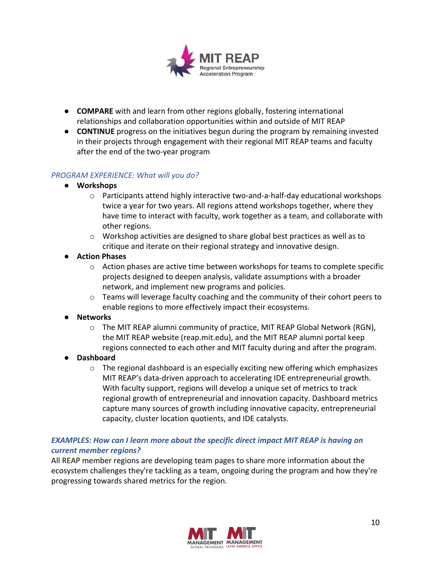

- **COMPARE** with and learn from other regions globally, fostering international relationships and collaboration opportunities within and outside of MIT REAP
- **CONTINUE** progress on the initiatives begun during the program by remaining invested in their projects through engagement with their regional MIT REAP teams and faculty after the end of the two-year program

#### *PROGRAM EXPERIENCE: What will you do?*

- **● Workshops**
	- o Participants attend highly interactive two-and-a-half-day educational workshops twice a year for two years. All regions attend workshops together, where they have time to interact with faculty, work together as a team, and collaborate with other regions.
	- $\circ$  Workshop activities are designed to share global best practices as well as to critique and iterate on their regional strategy and innovative design.
- **● Action Phases**
	- $\circ$  Action phases are active time between workshops for teams to complete specific projects designed to deepen analysis, validate assumptions with a broader network, and implement new programs and policies.
	- o Teams will leverage faculty coaching and the community of their cohort peers to enable regions to more effectively impact their ecosystems.
- **● Networks**
	- $\circ$  The MIT REAP alumni community of practice, MIT REAP Global Network (RGN), the MIT REAP website (reap.mit.edu), and the MIT REAP alumni portal keep regions connected to each other and MIT faculty during and after the program.
- **● Dashboard**
	- $\circ$  The regional dashboard is an especially exciting new offering which emphasizes MIT REAP's data-driven approach to accelerating IDE entrepreneurial growth. With faculty support, regions will develop a unique set of metrics to track regional growth of entrepreneurial and innovation capacity. Dashboard metrics capture many sources of growth including innovative capacity, entrepreneurial capacity, cluster location quotients, and IDE catalysts.

## *EXAMPLES: How can I learn more about the specific direct impact MIT REAP is having on current member regions?*

All REAP member regions are developing team pages to share more information about the ecosystem challenges they're tackling as a team, ongoing during the program and how they're progressing towards shared metrics for the region.